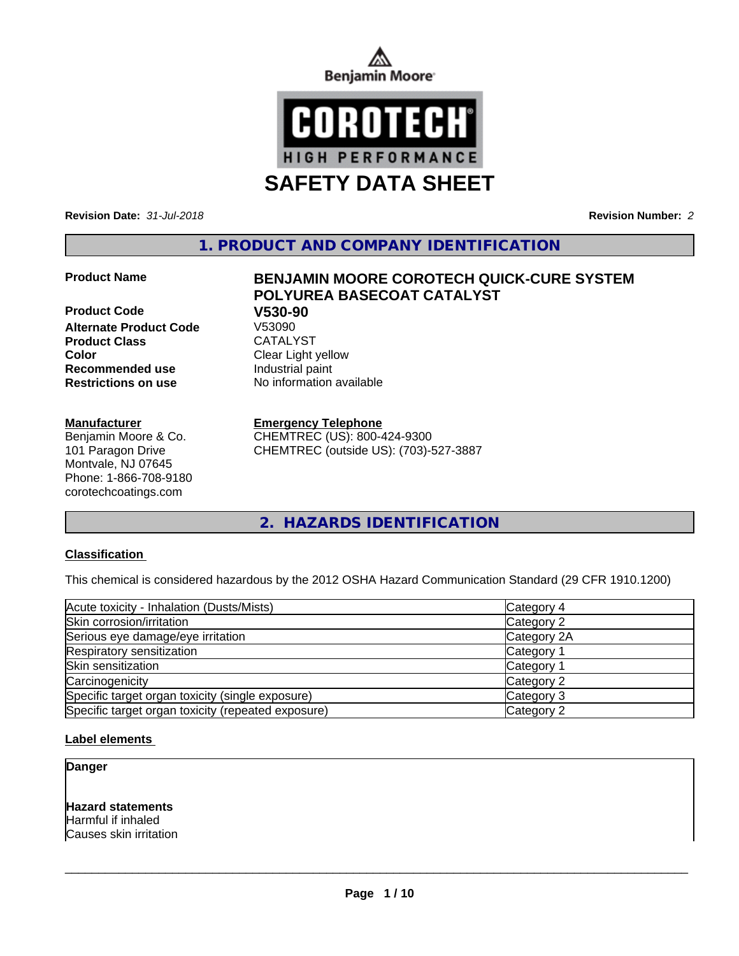



**SAFETY DATA SHEET**

**Revision Date:** *31-Jul-2018* **Revision Number:** *2*

**1. PRODUCT AND COMPANY IDENTIFICATION**

**Product Code V530-90 Alternate Product Code Product Class CATALYST Color** Clear Light yellow **Recommended use** Industrial paint **Restrictions on use** No information available

**Manufacturer**

Benjamin Moore & Co. 101 Paragon Drive Montvale, NJ 07645 Phone: 1-866-708-9180 corotechcoatings.com

# **Product Name BENJAMIN MOORE COROTECH QUICK-CURE SYSTEM POLYUREA BASECOAT CATALYST**

## **Emergency Telephone**

CHEMTREC (US): 800-424-9300 CHEMTREC (outside US): (703)-527-3887

**2. HAZARDS IDENTIFICATION**

## **Classification**

This chemical is considered hazardous by the 2012 OSHA Hazard Communication Standard (29 CFR 1910.1200)

| Acute toxicity - Inhalation (Dusts/Mists)          | Category 4  |  |
|----------------------------------------------------|-------------|--|
| Skin corrosion/irritation                          | Category 2  |  |
| Serious eye damage/eye irritation                  | Category 2A |  |
| Respiratory sensitization                          | Category 1  |  |
| Skin sensitization                                 | Category 1  |  |
| Carcinogenicity                                    | Category 2  |  |
| Specific target organ toxicity (single exposure)   | Category 3  |  |
| Specific target organ toxicity (repeated exposure) | Category 2  |  |

## **Label elements**

**Danger**

**Hazard statements** Harmful if inhaled Causes skin irritation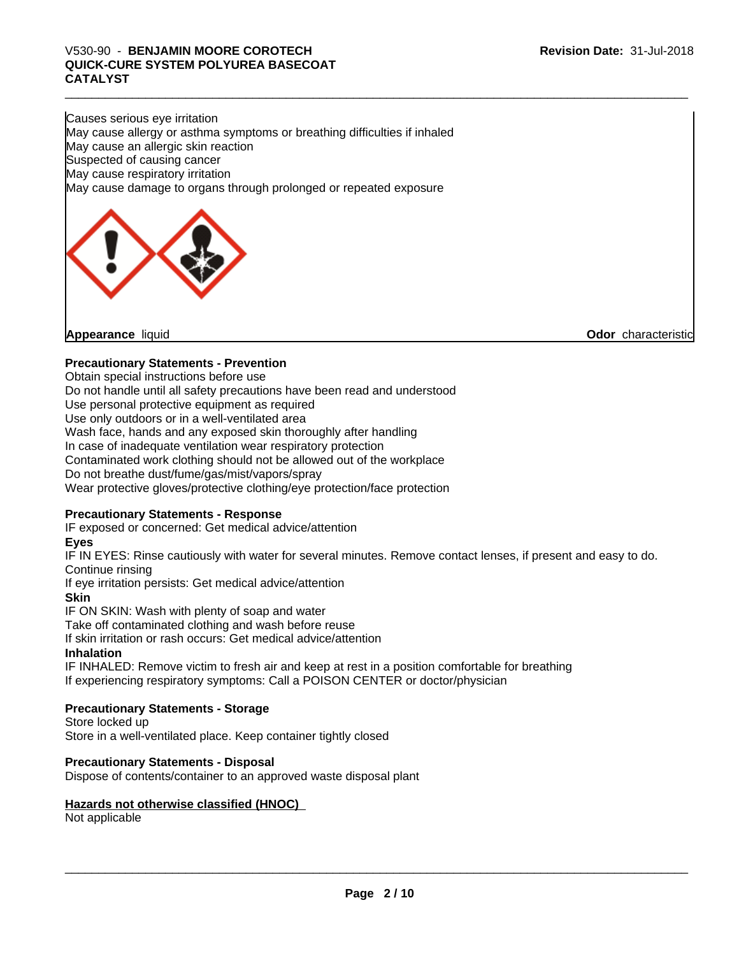# V530-90 - **BENJAMIN MOORE COROTECH**<br>QUICK-CURE SYSTEM POLYUREA BASECOAT<br>CATALYST **QUICK-CURE SYSTEM POLYUREA BASECOAT CATALYST**

Causes serious eye irritation May cause allergy or asthma symptoms or breathing difficulties if inhaled May cause an allergic skin reaction Suspected of causing cancer May cause respiratory irritation May cause damage to organs through prolonged or repeated exposure



# **Precautionary Statements - Prevention**

Obtain special instructions before use

Do not handle until all safety precautions have been read and understood

Use personal protective equipment as required

Use only outdoors or in a well-ventilated area

Wash face, hands and any exposed skin thoroughly after handling

In case of inadequate ventilation wear respiratory protection

Contaminated work clothing should not be allowed out of the workplace

Do not breathe dust/fume/gas/mist/vapors/spray

Wear protective gloves/protective clothing/eye protection/face protection

## **Precautionary Statements - Response**

IF exposed or concerned: Get medical advice/attention

## **Eyes**

IF IN EYES: Rinse cautiously with water for several minutes. Remove contact lenses, if present and easy to do. Continue rinsing

If eye irritation persists: Get medical advice/attention

**Skin**

IF ON SKIN: Wash with plenty of soap and water

Take off contaminated clothing and wash before reuse

If skin irritation or rash occurs: Get medical advice/attention

## **Inhalation**

IF INHALED: Remove victim to fresh air and keep at rest in a position comfortable for breathing If experiencing respiratory symptoms: Call a POISON CENTER or doctor/physician

## **Precautionary Statements - Storage**

Store locked up Store in a well-ventilated place. Keep container tightly closed

#### **Precautionary Statements - Disposal**

Dispose of contents/container to an approved waste disposal plant

#### **Hazards not otherwise classified (HNOC)**

Not applicable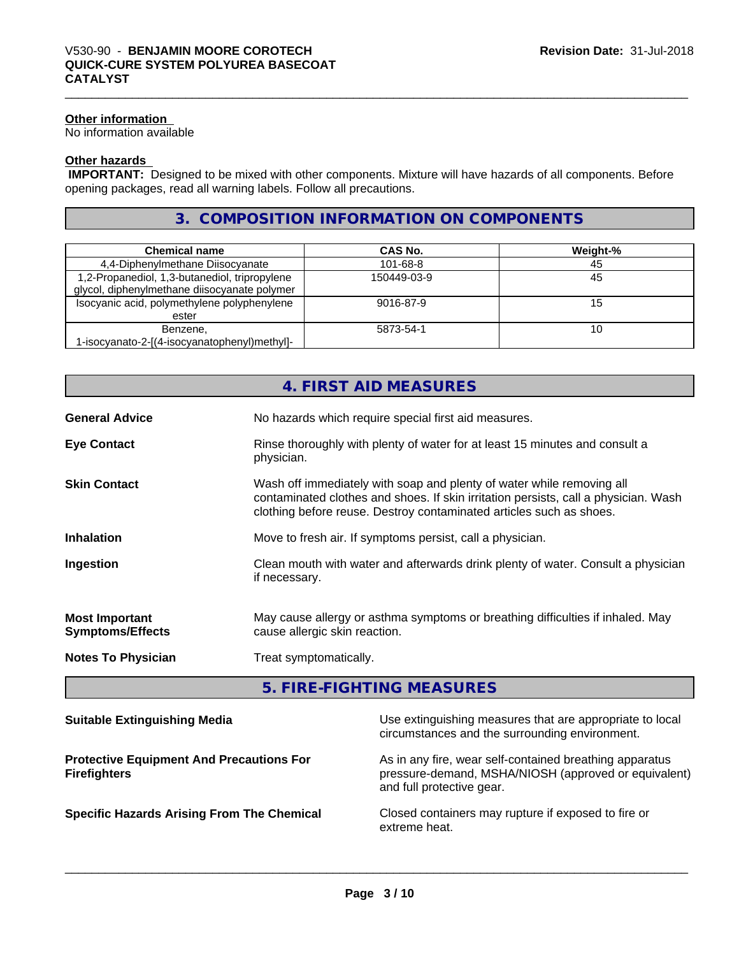## **Other information**

No information available

## **Other hazards**

 **IMPORTANT:** Designed to be mixed with other components. Mixture will have hazards of all components. Before opening packages, read all warning labels. Follow all precautions.

# **3. COMPOSITION INFORMATION ON COMPONENTS**

| <b>Chemical name</b>                          | CAS No.     | Weight-% |
|-----------------------------------------------|-------------|----------|
| 4,4-Diphenylmethane Diisocyanate              | 101-68-8    | 45       |
| 1,2-Propanediol, 1,3-butanediol, tripropylene | 150449-03-9 | 45       |
| glycol, diphenylmethane diisocyanate polymer  |             |          |
| Isocyanic acid, polymethylene polyphenylene   | 9016-87-9   | 15       |
| ester                                         |             |          |
| Benzene,                                      | 5873-54-1   | 10       |
| 1-isocyanato-2-[(4-isocyanatophenyl)methyl]-  |             |          |

|                                                  | 4. FIRST AID MEASURES                                                                                                                                                                                                               |
|--------------------------------------------------|-------------------------------------------------------------------------------------------------------------------------------------------------------------------------------------------------------------------------------------|
| <b>General Advice</b>                            | No hazards which require special first aid measures.                                                                                                                                                                                |
| <b>Eye Contact</b>                               | Rinse thoroughly with plenty of water for at least 15 minutes and consult a<br>physician.                                                                                                                                           |
| <b>Skin Contact</b>                              | Wash off immediately with soap and plenty of water while removing all<br>contaminated clothes and shoes. If skin irritation persists, call a physician. Wash<br>clothing before reuse. Destroy contaminated articles such as shoes. |
| <b>Inhalation</b>                                | Move to fresh air. If symptoms persist, call a physician.                                                                                                                                                                           |
| Ingestion                                        | Clean mouth with water and afterwards drink plenty of water. Consult a physician<br>if necessary.                                                                                                                                   |
| <b>Most Important</b><br><b>Symptoms/Effects</b> | May cause allergy or asthma symptoms or breathing difficulties if inhaled. May<br>cause allergic skin reaction.                                                                                                                     |
| <b>Notes To Physician</b>                        | Treat symptomatically.                                                                                                                                                                                                              |
|                                                  | 5. FIRE-FIGHTING MEASURES                                                                                                                                                                                                           |
|                                                  | and the company of the company of the company of the company of the company of the company of the company of the company of the company of the company of the company of the company of the company of the company of the comp      |

| <b>Suitable Extinguishing Media</b>                                    | Use extinguishing measures that are appropriate to local<br>circumstances and the surrounding environment.                                   |
|------------------------------------------------------------------------|----------------------------------------------------------------------------------------------------------------------------------------------|
| <b>Protective Equipment And Precautions For</b><br><b>Firefighters</b> | As in any fire, wear self-contained breathing apparatus<br>pressure-demand, MSHA/NIOSH (approved or equivalent)<br>and full protective gear. |
| <b>Specific Hazards Arising From The Chemical</b>                      | Closed containers may rupture if exposed to fire or<br>extreme heat.                                                                         |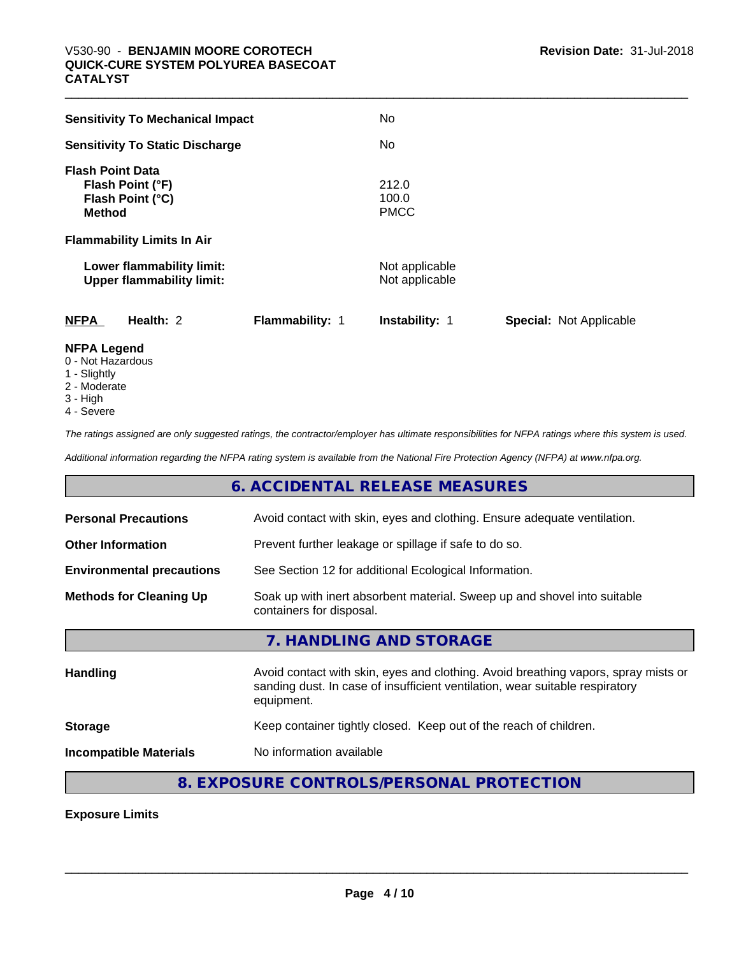| No                                                      |
|---------------------------------------------------------|
| No                                                      |
| 212.0<br>100.0<br><b>PMCC</b>                           |
|                                                         |
| Not applicable<br>Not applicable                        |
| <b>Instability: 1</b><br><b>Special: Not Applicable</b> |
|                                                         |

# **NFPA Legend**

- 0 Not Hazardous
- 1 Slightly
- 2 Moderate
- 3 High
- 4 Severe

*The ratings assigned are only suggested ratings, the contractor/employer has ultimate responsibilities for NFPA ratings where this system is used.*

*Additional information regarding the NFPA rating system is available from the National Fire Protection Agency (NFPA) at www.nfpa.org.*

# **6. ACCIDENTAL RELEASE MEASURES**

| <b>Personal Precautions</b>                                                                                                            | Avoid contact with skin, eyes and clothing. Ensure adequate ventilation.                                                                                                         |  |
|----------------------------------------------------------------------------------------------------------------------------------------|----------------------------------------------------------------------------------------------------------------------------------------------------------------------------------|--|
| <b>Other Information</b>                                                                                                               | Prevent further leakage or spillage if safe to do so.                                                                                                                            |  |
| <b>Environmental precautions</b>                                                                                                       | See Section 12 for additional Ecological Information.                                                                                                                            |  |
| Soak up with inert absorbent material. Sweep up and shovel into suitable<br><b>Methods for Cleaning Up</b><br>containers for disposal. |                                                                                                                                                                                  |  |
|                                                                                                                                        | 7. HANDLING AND STORAGE                                                                                                                                                          |  |
| <b>Handling</b>                                                                                                                        | Avoid contact with skin, eyes and clothing. Avoid breathing vapors, spray mists or<br>sanding dust. In case of insufficient ventilation, wear suitable respiratory<br>equipment. |  |
| <b>Storage</b>                                                                                                                         | Keep container tightly closed. Keep out of the reach of children.                                                                                                                |  |
| <b>Incompatible Materials</b>                                                                                                          | No information available                                                                                                                                                         |  |
|                                                                                                                                        |                                                                                                                                                                                  |  |

# **8. EXPOSURE CONTROLS/PERSONAL PROTECTION**

**Exposure Limits**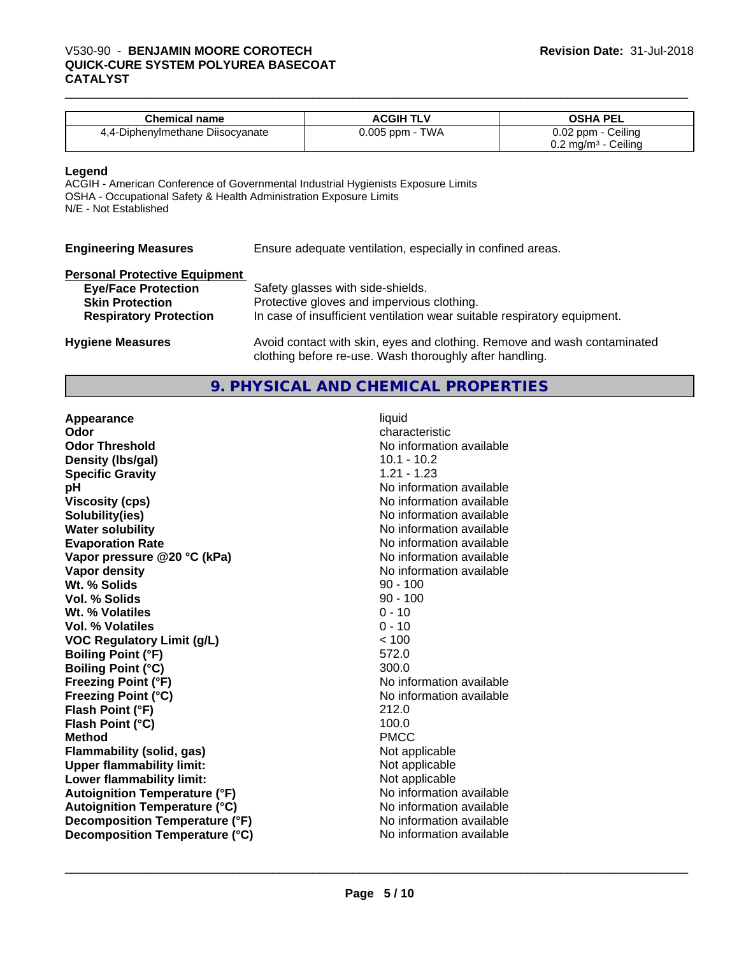# V530-90 - **BENJAMIN MOORE COROTECH**<br>QUICK-CURE SYSTEM POLYUREA BASECOAT<br>CATALYST **QUICK-CURE SYSTEM POLYUREA BASECOAT CATALYST**

| <b>Chemical name</b>             | ACGIH TLV       | <b>OSHA PEL</b>                     |
|----------------------------------|-----------------|-------------------------------------|
| 4,4-Diphenylmethane Diisocyanate | 0.005 ppm - TWA | 0.02 ppm - Ceiling                  |
|                                  |                 | Ceiling<br>$0.2 \text{ mg/m}^3$ - 0 |

#### **Legend**

ACGIH - American Conference of Governmental Industrial Hygienists Exposure Limits OSHA - Occupational Safety & Health Administration Exposure Limits N/E - Not Established

| <b>Engineering Measures</b> | Ensure adequate ventilation, especially in confined areas. |
|-----------------------------|------------------------------------------------------------|
|                             |                                                            |

#### **Personal Protective Equipment**

| <b>Eye/Face Protection</b>                              | Safety glasses with side-shields.                                                                                      |
|---------------------------------------------------------|------------------------------------------------------------------------------------------------------------------------|
| <b>Skin Protection</b><br><b>Respiratory Protection</b> | Protective gloves and impervious clothing.<br>In case of insufficient ventilation wear suitable respiratory equipment. |
|                                                         |                                                                                                                        |

**Hygiene Measures** Avoid contact with skin, eyes and clothing. Remove and wash contaminated clothing before re-use. Wash thoroughly after handling.

# **9. PHYSICAL AND CHEMICAL PROPERTIES**

| Appearance                           | liquid                   |
|--------------------------------------|--------------------------|
| Odor                                 | characteristic           |
| <b>Odor Threshold</b>                | No information available |
| Density (Ibs/gal)                    | $10.1 - 10.2$            |
| <b>Specific Gravity</b>              | $1.21 - 1.23$            |
| рH                                   | No information available |
| <b>Viscosity (cps)</b>               | No information available |
| Solubility(ies)                      | No information available |
| <b>Water solubility</b>              | No information available |
| <b>Evaporation Rate</b>              | No information available |
| Vapor pressure @20 °C (kPa)          | No information available |
| Vapor density                        | No information available |
| Wt. % Solids                         | $90 - 100$               |
| Vol. % Solids                        | $90 - 100$               |
| Wt. % Volatiles                      | $0 - 10$                 |
| Vol. % Volatiles                     | $0 - 10$                 |
| <b>VOC Regulatory Limit (g/L)</b>    | < 100                    |
| <b>Boiling Point (°F)</b>            | 572.0                    |
| <b>Boiling Point (°C)</b>            | 300.0                    |
| <b>Freezing Point (°F)</b>           | No information available |
| <b>Freezing Point (°C)</b>           | No information available |
| Flash Point (°F)                     | 212.0                    |
| Flash Point (°C)                     | 100.0                    |
| <b>Method</b>                        | <b>PMCC</b>              |
| Flammability (solid, gas)            | Not applicable           |
| <b>Upper flammability limit:</b>     | Not applicable           |
| Lower flammability limit:            | Not applicable           |
| <b>Autoignition Temperature (°F)</b> | No information available |
| <b>Autoignition Temperature (°C)</b> | No information available |
| Decomposition Temperature (°F)       | No information available |
| Decomposition Temperature (°C)       | No information available |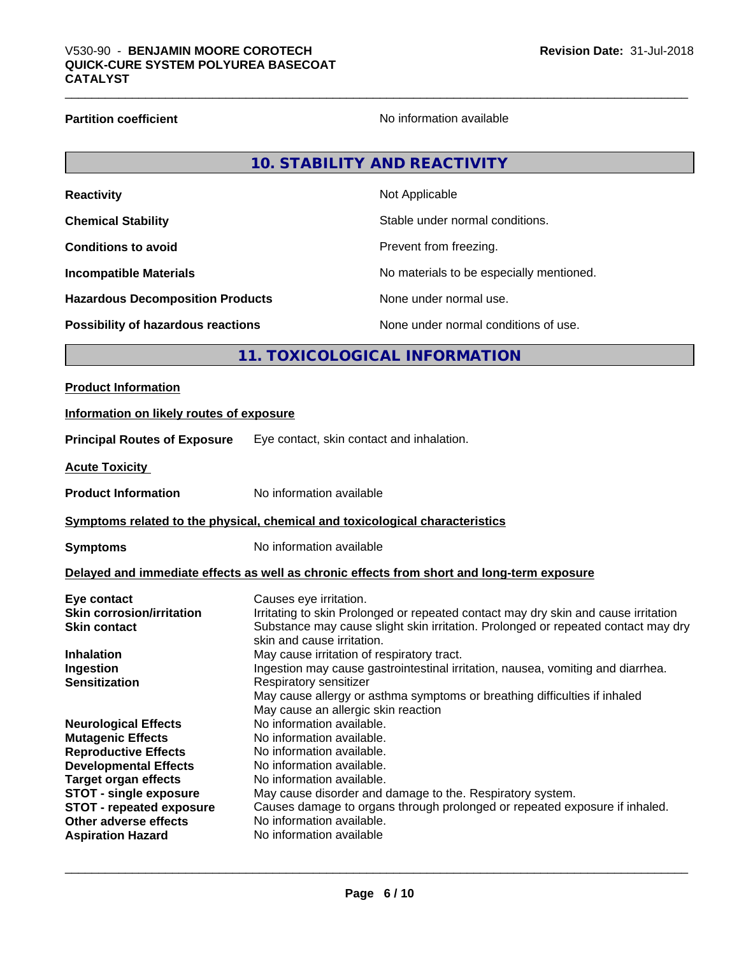## **Partition coefficient** No information available

# **10. STABILITY AND REACTIVITY**

| <b>Reactivity</b>                         | Not Applicable                           |
|-------------------------------------------|------------------------------------------|
| <b>Chemical Stability</b>                 | Stable under normal conditions.          |
| <b>Conditions to avoid</b>                | Prevent from freezing.                   |
| <b>Incompatible Materials</b>             | No materials to be especially mentioned. |
| <b>Hazardous Decomposition Products</b>   | None under normal use.                   |
| <b>Possibility of hazardous reactions</b> | None under normal conditions of use.     |

# **11. TOXICOLOGICAL INFORMATION**

# **Product Information**

# **Information on likely routes of exposure**

**Principal Routes of Exposure** Eye contact, skin contact and inhalation.

**Acute Toxicity** 

**Product Information** No information available

### **Symptoms related to the physical, chemical and toxicological characteristics**

**Symptoms** No information available

## **Delayed and immediate effects as well as chronic effects from short and long-term exposure**

| Eye contact                      | Causes eye irritation.                                                                                          |
|----------------------------------|-----------------------------------------------------------------------------------------------------------------|
| <b>Skin corrosion/irritation</b> | Irritating to skin Prolonged or repeated contact may dry skin and cause irritation                              |
| <b>Skin contact</b>              | Substance may cause slight skin irritation. Prolonged or repeated contact may dry<br>skin and cause irritation. |
| <b>Inhalation</b>                | May cause irritation of respiratory tract.                                                                      |
| Ingestion                        | Ingestion may cause gastrointestinal irritation, nausea, vomiting and diarrhea.                                 |
| <b>Sensitization</b>             | Respiratory sensitizer                                                                                          |
|                                  | May cause allergy or asthma symptoms or breathing difficulties if inhaled                                       |
|                                  | May cause an allergic skin reaction                                                                             |
| <b>Neurological Effects</b>      | No information available.                                                                                       |
| <b>Mutagenic Effects</b>         | No information available.                                                                                       |
| <b>Reproductive Effects</b>      | No information available.                                                                                       |
| <b>Developmental Effects</b>     | No information available.                                                                                       |
| <b>Target organ effects</b>      | No information available.                                                                                       |
| <b>STOT - single exposure</b>    | May cause disorder and damage to the. Respiratory system.                                                       |
| <b>STOT - repeated exposure</b>  | Causes damage to organs through prolonged or repeated exposure if inhaled.                                      |
| Other adverse effects            | No information available.                                                                                       |
| <b>Aspiration Hazard</b>         | No information available                                                                                        |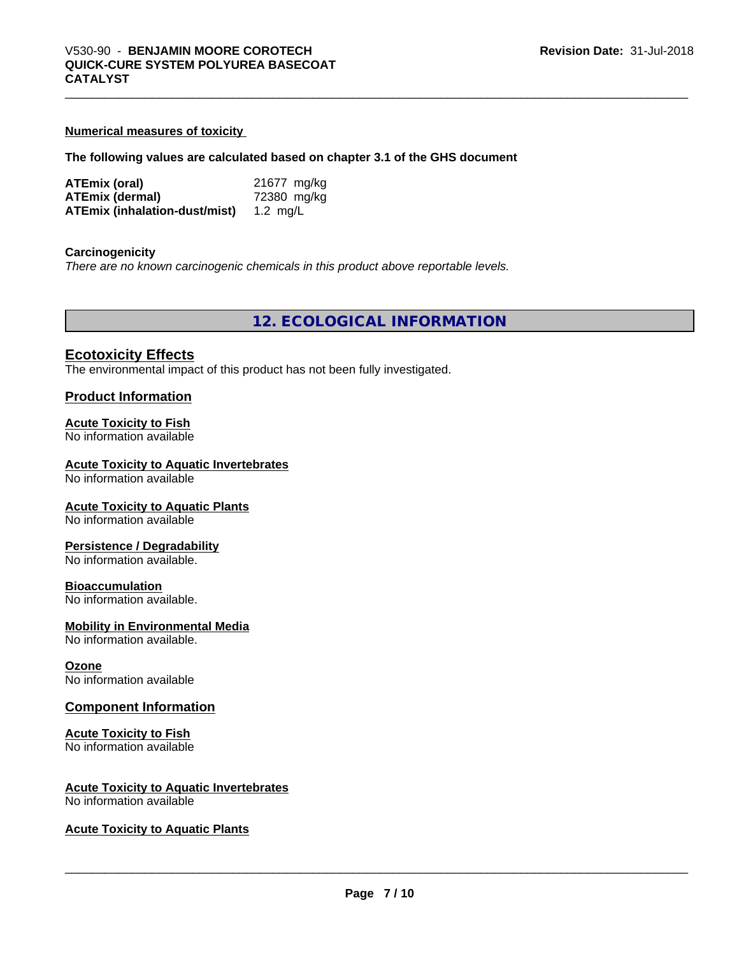#### **Numerical measures of toxicity**

#### **The following values are calculated based on chapter 3.1 of the GHS document**

| ATEmix (oral)                          | 21677 mg/kg |
|----------------------------------------|-------------|
| <b>ATEmix (dermal)</b>                 | 72380 mg/kg |
| ATEmix (inhalation-dust/mist) 1.2 mg/L |             |

#### **Carcinogenicity**

*There are no known carcinogenic chemicals in this product above reportable levels.*

**12. ECOLOGICAL INFORMATION**

# **Ecotoxicity Effects**

The environmental impact of this product has not been fully investigated.

#### **Product Information**

#### **Acute Toxicity to Fish**

No information available

#### **Acute Toxicity to Aquatic Invertebrates**

No information available

#### **Acute Toxicity to Aquatic Plants**

No information available

#### **Persistence / Degradability**

No information available.

#### **Bioaccumulation**

No information available.

# **Mobility in Environmental Media**

No information available.

#### **Ozone**

No information available

#### **Component Information**

#### **Acute Toxicity to Fish**

No information available

# **Acute Toxicity to Aquatic Invertebrates**

No information available

#### **Acute Toxicity to Aquatic Plants**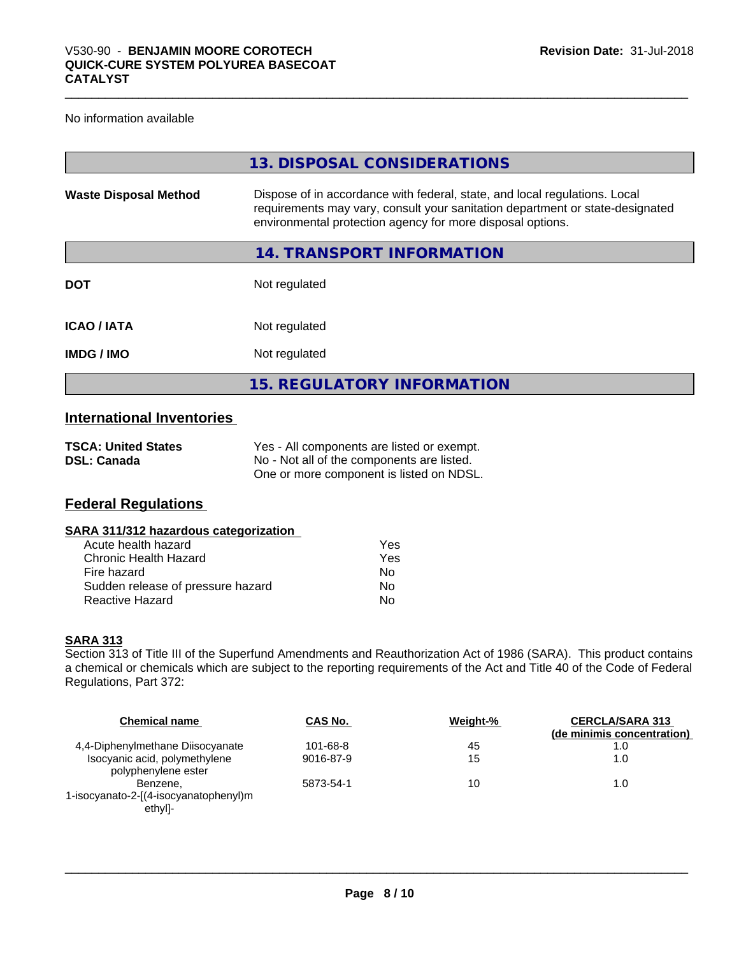## No information available

|                              | 13. DISPOSAL CONSIDERATIONS                                                                                                                                                                                               |
|------------------------------|---------------------------------------------------------------------------------------------------------------------------------------------------------------------------------------------------------------------------|
| <b>Waste Disposal Method</b> | Dispose of in accordance with federal, state, and local regulations. Local<br>requirements may vary, consult your sanitation department or state-designated<br>environmental protection agency for more disposal options. |
|                              | 14. TRANSPORT INFORMATION                                                                                                                                                                                                 |
| <b>DOT</b>                   | Not regulated                                                                                                                                                                                                             |
| <b>ICAO / IATA</b>           | Not regulated                                                                                                                                                                                                             |
| <b>IMDG / IMO</b>            | Not regulated                                                                                                                                                                                                             |
|                              | <b>15. REGULATORY INFORMATION</b>                                                                                                                                                                                         |

# **International Inventories**

| <b>TSCA: United States</b> | Yes - All components are listed or exempt. |
|----------------------------|--------------------------------------------|
| <b>DSL: Canada</b>         | No - Not all of the components are listed. |
|                            | One or more component is listed on NDSL.   |

# **Federal Regulations**

## **SARA 311/312 hazardous categorization**

| Acute health hazard               | Yes |
|-----------------------------------|-----|
| Chronic Health Hazard             | Yes |
| Fire hazard                       | N٥  |
| Sudden release of pressure hazard | Nο  |
| Reactive Hazard                   | Nο  |

#### **SARA 313**

Section 313 of Title III of the Superfund Amendments and Reauthorization Act of 1986 (SARA). This product contains a chemical or chemicals which are subject to the reporting requirements of the Act and Title 40 of the Code of Federal Regulations, Part 372:

| <b>Chemical name</b>                                 | CAS No.   | Weight-% | <b>CERCLA/SARA 313</b><br>(de minimis concentration) |
|------------------------------------------------------|-----------|----------|------------------------------------------------------|
| 4,4-Diphenylmethane Diisocyanate                     | 101-68-8  | 45       | 1.0                                                  |
| Isocyanic acid, polymethylene<br>polyphenylene ester | 9016-87-9 | 15       | 1.0                                                  |
| Benzene.                                             | 5873-54-1 | 10       | 1.0                                                  |
| 1-isocyanato-2-[(4-isocyanatophenyl)m<br>ethyl]-     |           |          |                                                      |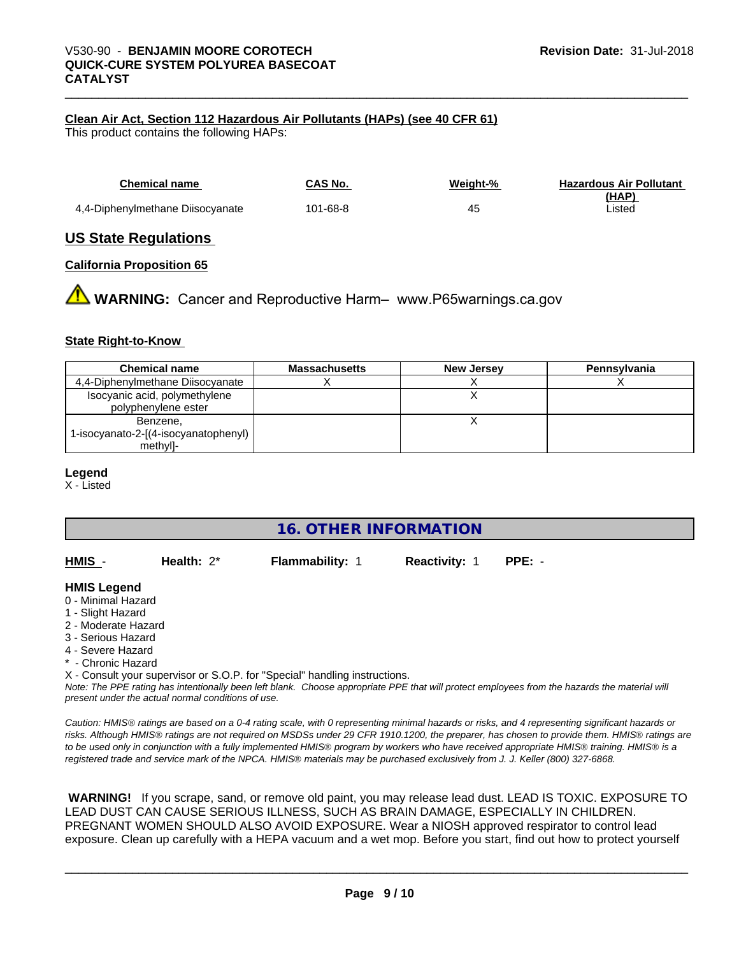## **Clean Air Act,Section 112 Hazardous Air Pollutants (HAPs) (see 40 CFR 61)**

This product contains the following HAPs:

| <b>Chemical name</b>             | CAS No.  | Weight-% | <b>Hazardous Air Pollutant</b> |
|----------------------------------|----------|----------|--------------------------------|
|                                  |          |          | (HAP)                          |
| 4,4-Diphenylmethane Diisocyanate | 101-68-8 | 45       | Listed                         |

## **US State Regulations**

#### **California Proposition 65**

**AN** WARNING: Cancer and Reproductive Harm– www.P65warnings.ca.gov

#### **State Right-to-Know**

| <b>Chemical name</b>                                 | <b>Massachusetts</b> | <b>New Jersey</b> | <b>Pennsylvania</b> |
|------------------------------------------------------|----------------------|-------------------|---------------------|
| 4,4-Diphenylmethane Diisocyanate                     |                      |                   |                     |
| Isocyanic acid, polymethylene<br>polyphenylene ester |                      |                   |                     |
| Benzene,                                             |                      |                   |                     |
| 1-isocyanato-2-[(4-isocyanatophenyl)                 |                      |                   |                     |
| methyl]-                                             |                      |                   |                     |

#### **Legend**

X - Listed

# **16. OTHER INFORMATION**

**HMIS** - **Health:** 2\* **Flammability:** 1 **Reactivity:** 1 **PPE:** -

| HMIS | Health: |
|------|---------|
|      |         |

# **HMIS Legend**

- 0 Minimal Hazard
- 1 Slight Hazard
- 2 Moderate Hazard
- 3 Serious Hazard
- 4 Severe Hazard
- Chronic Hazard

X - Consult your supervisor or S.O.P. for "Special" handling instructions.

*Note: The PPE rating has intentionally been left blank. Choose appropriate PPE that will protect employees from the hazards the material will present under the actual normal conditions of use.*

*Caution: HMISÒ ratings are based on a 0-4 rating scale, with 0 representing minimal hazards or risks, and 4 representing significant hazards or risks. Although HMISÒ ratings are not required on MSDSs under 29 CFR 1910.1200, the preparer, has chosen to provide them. HMISÒ ratings are to be used only in conjunction with a fully implemented HMISÒ program by workers who have received appropriate HMISÒ training. HMISÒ is a registered trade and service mark of the NPCA. HMISÒ materials may be purchased exclusively from J. J. Keller (800) 327-6868.*

 **WARNING!** If you scrape, sand, or remove old paint, you may release lead dust. LEAD IS TOXIC. EXPOSURE TO LEAD DUST CAN CAUSE SERIOUS ILLNESS, SUCH AS BRAIN DAMAGE, ESPECIALLY IN CHILDREN. PREGNANT WOMEN SHOULD ALSO AVOID EXPOSURE.Wear a NIOSH approved respirator to control lead exposure. Clean up carefully with a HEPA vacuum and a wet mop. Before you start, find out how to protect yourself